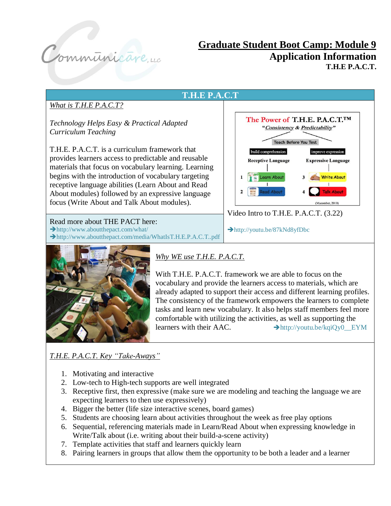

# **Graduate Student Boot Camp: Module 9 Application Information T.H.E P.A.C.T.**





*Why WE use T.H.E. P.A.C.T.*

With T.H.E. P.A.C.T. framework we are able to focus on the vocabulary and provide the learners access to materials, which are already adapted to support their access and different learning profiles. The consistency of the framework empowers the learners to complete tasks and learn new vocabulary. It also helps staff members feel more comfortable with utilizing the activities, as well as supporting the learners with their AAC.  $\rightarrow$ http://youtu.be/kqiQy0 EYM

## *T.H.E. P.A.C.T. Key "Take-Aways"*

- 1. Motivating and interactive
- 2. Low-tech to High-tech supports are well integrated
- 3. Receptive first, then expressive (make sure we are modeling and teaching the language we are expecting learners to then use expressively)
- 4. Bigger the better (life size interactive scenes, board games)
- 5. Students are choosing learn about activities throughout the week as free play options
- 6. Sequential, referencing materials made in Learn/Read About when expressing knowledge in Write/Talk about (i.e. writing about their build-a-scene activity)
- 7. Template activities that staff and learners quickly learn
- 8. Pairing learners in groups that allow them the opportunity to be both a leader and a learner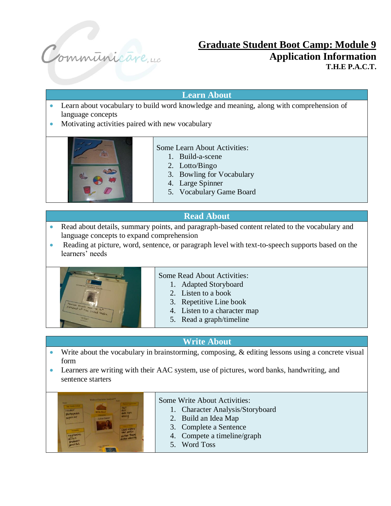

## **Graduate Student Boot Camp: Module 9 Application Information T.H.E P.A.C.T.**

### **Learn About**

- Learn about vocabulary to build word knowledge and meaning, along with comprehension of language concepts
- Motivating activities paired with new vocabulary



#### Some Learn About Activities:

- 1. Build-a-scene
- 2. Lotto/Bingo
- 3. Bowling for Vocabulary
- 4. Large Spinner
- 5. Vocabulary Game Board

## **Read About**

- Read about details, summary points, and paragraph-based content related to the vocabulary and language concepts to expand comprehension
- Reading at picture, word, sentence, or paragraph level with text-to-speech supports based on the learners' needs



#### Some Read About Activities:

- 1. Adapted Storyboard
- 2. Listen to a book
- 3. Repetitive Line book
- 4. Listen to a character map
- 5. Read a graph/timeline

## **Write About**

- Write about the vocabulary in brainstorming, composing, & editing lessons using a concrete visual form
- Learners are writing with their AAC system, use of pictures, word banks, handwriting, and sentence starters



- Some Write About Activities:
	- 1. Character Analysis/Storyboard
	- 2. Build an Idea Map
	- 3. Complete a Sentence
	- 4. Compete a timeline/graph
	- 5. Word Toss